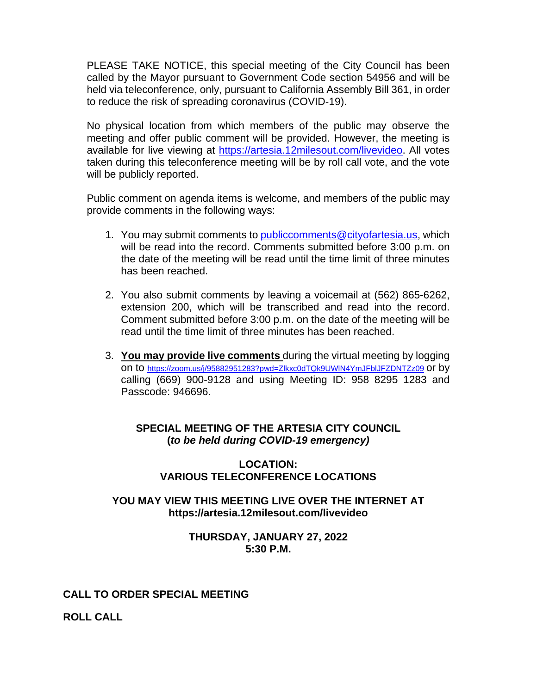PLEASE TAKE NOTICE, this special meeting of the City Council has been called by the Mayor pursuant to Government Code section 54956 and will be held via teleconference, only, pursuant to California Assembly Bill 361, in order to reduce the risk of spreading coronavirus (COVID-19).

No physical location from which members of the public may observe the meeting and offer public comment will be provided. However, the meeting is available for live viewing at [https://artesia.12milesout.com/livevideo.](https://artesia.12milesout.com/livevideo) All votes taken during this teleconference meeting will be by roll call vote, and the vote will be publicly reported.

Public comment on agenda items is welcome, and members of the public may provide comments in the following ways:

- 1. You may submit comments to [publiccomments@cityofartesia.us,](mailto:publiccomments@cityofartesia.us) which will be read into the record. Comments submitted before 3:00 p.m. on the date of the meeting will be read until the time limit of three minutes has been reached.
- 2. You also submit comments by leaving a voicemail at (562) 865-6262, extension 200, which will be transcribed and read into the record. Comment submitted before 3:00 p.m. on the date of the meeting will be read until the time limit of three minutes has been reached.
- 3. **You may provide live comments** during the virtual meeting by logging on to <https://zoom.us/j/95882951283?pwd=Zlkxc0dTQk9UWlN4YmJFblJFZDNTZz09> or by calling (669) 900-9128 and using Meeting ID: 958 8295 1283 and Passcode: 946696.

# **SPECIAL MEETING OF THE ARTESIA CITY COUNCIL (***to be held during COVID-19 emergency)*

### **LOCATION: VARIOUS TELECONFERENCE LOCATIONS**

# **YOU MAY VIEW THIS MEETING LIVE OVER THE INTERNET AT https://artesia.12milesout.com/livevideo**

### **THURSDAY, JANUARY 27, 2022 5:30 P.M.**

# **CALL TO ORDER SPECIAL MEETING**

**ROLL CALL**